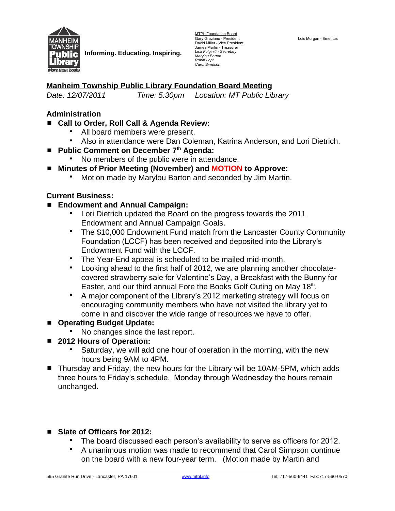

**Informing. Educating. Inspiring.**

MTPL Foundation Board Gary Graziano - President<br>David Miller - Vice President James Martin – Treasurer *Lisa Fulginiti - Secretary Marylou Barton Robin Lapi Carol Simpson*

Lois Morgan – Emeritus

# **Manheim Township Public Library Foundation Board Meeting**

*Date: 12/07/2011 Time: 5:30pm Location: MT Public Library*

# **Administration**

- Call to Order, Roll Call & Agenda Review:
	- All board members were present.
	- Also in attendance were Dan Coleman, Katrina Anderson, and Lori Dietrich.
- Public Comment on December 7<sup>th</sup> Agenda:
	- No members of the public were in attendance.
- Minutes of Prior Meeting (November) and MOTION to Approve:
	- Motion made by Marylou Barton and seconded by Jim Martin.

### **Current Business:**

- **Endowment and Annual Campaign:**
	- Lori Dietrich updated the Board on the progress towards the 2011 Endowment and Annual Campaign Goals.
	- **The \$10,000 Endowment Fund match from the Lancaster County Community** Foundation (LCCF) has been received and deposited into the Library's Endowment Fund with the LCCF.
	- The Year-End appeal is scheduled to be mailed mid-month.
	- Looking ahead to the first half of 2012, we are planning another chocolatecovered strawberry sale for Valentine's Day, a Breakfast with the Bunny for Easter, and our third annual Fore the Books Golf Outing on May 18th.
	- A major component of the Library's 2012 marketing strategy will focus on encouraging community members who have not visited the library yet to come in and discover the wide range of resources we have to offer.
- **Operating Budget Update:**
	- No changes since the last report.
- 2012 Hours of Operation:
	- Saturday, we will add one hour of operation in the morning, with the new hours being 9AM to 4PM.
- Thursday and Friday, the new hours for the Library will be 10AM-5PM, which adds three hours to Friday's schedule. Monday through Wednesday the hours remain unchanged.

#### ■ Slate of Officers for 2012:

- The board discussed each person's availability to serve as officers for 2012.
- A unanimous motion was made to recommend that Carol Simpson continue on the board with a new four-year term. (Motion made by Martin and